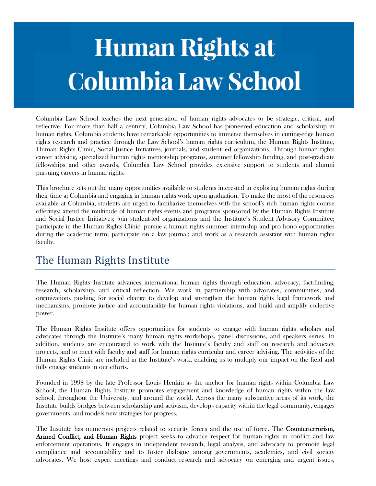# **Human Rights at Columbia Law School**

Columbia Law School teaches the next generation of human rights advocates to be strategic, critical, and reflective. For more than half a century, Columbia Law School has pioneered education and scholarship in human rights. Columbia students have remarkable opportunities to immerse themselves in cutting-edge human rights research and practice through the Law School's human rights curriculum, the Human Rights Institute, Human Rights Clinic, Social Justice Initiatives, journals, and student-led organizations. Through human rights career advising, specialized human rights mentorship programs, summer fellowship funding, and post-graduate fellowships and other awards, Columbia Law School provides extensive support to students and alumni pursuing careers in human rights.

This brochure sets out the many opportunities available to students interested in exploring human rights during their time at Columbia and engaging in human rights work upon graduation. To make the most of the resources available at Columbia, students are urged to familiarize themselves with the school's rich human rights course offerings; attend the multitude of human rights events and programs sponsored by the Human Rights Institute and Social Justice Initiatives; join student-led organizations and the Institute's Student Advisory Committee; participate in the Human Rights Clinic; pursue a human rights summer internship and pro bono opportunities during the academic term; participate on a law journal; and work as a research assistant with human rights faculty.

## The Human Rights Institute

The Human Rights Institute advances international human rights through education, advocacy, fact-finding, research, scholarship, and critical reflection. We work in partnership with advocates, communities, and organizations pushing for social change to develop and strengthen the human rights legal framework and mechanisms, promote justice and accountability for human rights violations, and build and amplify collective power.

The Human Rights Institute offers opportunities for students to engage with human rights scholars and advocates through the Institute's many human rights workshops, panel discussions, and speakers series. In addition, students are encouraged to work with the Institute's faculty and staff on research and advocacy projects, and to meet with faculty and staff for human rights curricular and career advising. The activities of the Human Rights Clinic are included in the Institute's work, enabling us to multiply our impact on the field and fully engage students in our efforts.

Founded in 1998 by the late Professor Louis Henkin as the anchor for human rights within Columbia Law School, the Human Rights Institute promotes engagement and knowledge of human rights within the law school, throughout the University, and around the world. Across the many substantive areas of its work, the Institute builds bridges between scholarship and activism, develops capacity within the legal community, engages governments, and models new strategies for progress.

The Institute has numerous projects related to security forces and the use of force. The **Counterterrorism**, Armed Conflict, and Human Rights project seeks to advance respect for human rights in conflict and law enforcement operations. It engages in independent research, legal analysis, and advocacy to promote legal compliance and accountability and to foster dialogue among governments, academics, and civil society advocates. We host expert meetings and conduct research and advocacy on emerging and urgent issues,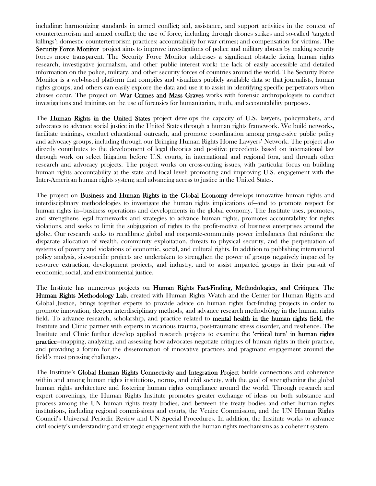including: harmonizing standards in armed conflict; aid, assistance, and support activities in the context of counterterrorism and armed conflict; the use of force, including through drones strikes and so-called 'targeted killings'; domestic counterterrorism practices; accountability for war crimes; and compensation for victims. The Security Force Monitor project aims to improve investigations of police and military abuses by making security forces more transparent. The Security Force Monitor addresses a significant obstacle facing human rights research, investigative journalism, and other public interest work: the lack of easily accessible and detailed information on the police, military, and other security forces of countries around the world. The Security Force Monitor is a web-based platform that compiles and visualizes publicly available data so that journalists, human rights groups, and others can easily explore the data and use it to assist in identifying specific perpetrators when abuses occur. The project on **War Crimes and Mass Graves** works with forensic anthropologists to conduct investigations and trainings on the use of forensics for humanitarian, truth, and accountability purposes.

The **Human Rights in the United States** project develops the capacity of U.S. lawyers, policymakers, and advocates to advance social justice in the United States through a human rights framework. We build networks, facilitate trainings, conduct educational outreach, and promote coordination among progressive public policy and advocacy groups, including through our Bringing Human Rights Home Lawyers' Network. The project also directly contributes to the development of legal theories and positive precedents based on international law through work on select litigation before U.S. courts, in international and regional fora, and through other research and advocacy projects. The project works on cross-cutting issues, with particular focus on building human rights accountability at the state and local level; promoting and improving U.S. engagement with the Inter-American human rights system; and advancing access to justice in the United States.

The project on **Business and Human Rights in the Global Economy** develops innovative human rights and interdisciplinary methodologies to investigate the human rights implications of—and to promote respect for human rights in—business operations and developments in the global economy. The Institute uses, promotes, and strengthens legal frameworks and strategies to advance human rights, promotes accountability for rights violations, and seeks to limit the subjugation of rights to the profit-motive of business enterprises around the globe. Our research seeks to recalibrate global and corporate-community power imbalances that reinforce the disparate allocation of wealth, community exploitation, threats to physical security, and the perpetuation of systems of poverty and violations of economic, social, and cultural rights. In addition to publishing international policy analysis, site-specific projects are undertaken to strengthen the power of groups negatively impacted by resource extraction, development projects, and industry, and to assist impacted groups in their pursuit of economic, social, and environmental justice.

The Institute has numerous projects on Human Rights Fact-Finding, Methodologies, and Critiques. The Human Rights Methodology Lab, created with Human Rights Watch and the Center for Human Rights and Global Justice, brings together experts to provide advice on human rights fact-finding projects in order to promote innovation, deepen interdisciplinary methods, and advance research methodology in the human rights field. To advance research, scholarship, and practice related to mental health in the human rights field, the Institute and Clinic partner with experts in vicarious trauma, post-traumatic stress disorder, and resilience. The Institute and Clinic further develop applied research projects to examine the 'critical turn' in human rights practice—mapping, analyzing, and assessing how advocates negotiate critiques of human rights in their practice, and providing a forum for the dissemination of innovative practices and pragmatic engagement around the field's most pressing challenges.

The Institute's Global Human Rights Connectivity and Integration Project builds connections and coherence within and among human rights institutions, norms, and civil society, with the goal of strengthening the global human rights architecture and fostering human rights compliance around the world. Through research and expert convenings, the Human Rights Institute promotes greater exchange of ideas on both substance and process among the UN human rights treaty bodies, and between the treaty bodies and other human rights institutions, including regional commissions and courts, the Venice Commission, and the UN Human Rights Council's Universal Periodic Review and UN Special Procedures. In addition, the Institute works to advance civil society's understanding and strategic engagement with the human rights mechanisms as a coherent system.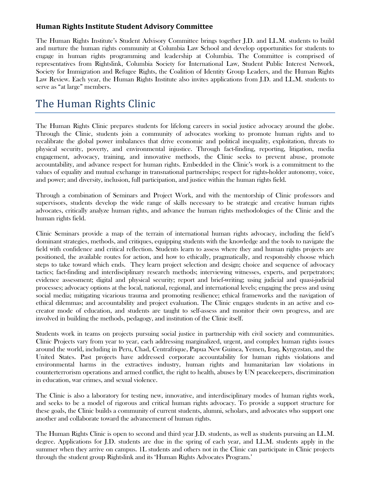#### **Human Rights Institute Student Advisory Committee**

The Human Rights Institute's Student Advisory Committee brings together J.D. and LL.M. students to build and nurture the human rights community at Columbia Law School and develop opportunities for students to engage in human rights programming and leadership at Columbia. The Committee is comprised of representatives from Rightslink, Columbia Society for International Law, Student Public Interest Network, Society for Immigration and Refugee Rights, the Coalition of Identity Group Leaders, and the Human Rights Law Review. Each year, the Human Rights Institute also invites applications from J.D. and LL.M. students to serve as "at large" members.

## The Human Rights Clinic

The Human Rights Clinic prepares students for lifelong careers in social justice advocacy around the globe. Through the Clinic, students join a community of advocates working to promote human rights and to recalibrate the global power imbalances that drive economic and political inequality, exploitation, threats to physical security, poverty, and environmental injustice. Through fact-finding, reporting, litigation, media engagement, advocacy, training, and innovative methods, the Clinic seeks to prevent abuse, promote accountability, and advance respect for human rights. Embedded in the Clinic's work is a commitment to the values of equality and mutual exchange in transnational partnerships; respect for rights-holder autonomy, voice, and power; and diversity, inclusion, full participation, and justice within the human rights field.

Through a combination of Seminars and Project Work, and with the mentorship of Clinic professors and supervisors, students develop the wide range of skills necessary to be strategic and creative human rights advocates, critically analyze human rights, and advance the human rights methodologies of the Clinic and the human rights field.

Clinic Seminars provide a map of the terrain of international human rights advocacy, including the field's dominant strategies, methods, and critiques, equipping students with the knowledge and the tools to navigate the field with confidence and critical reflection. Students learn to assess where they and human rights projects are positioned, the available routes for action, and how to ethically, pragmatically, and responsibly choose which steps to take toward which ends. They learn project selection and design; choice and sequence of advocacy tactics; fact-finding and interdisciplinary research methods; interviewing witnesses, experts, and perpetrators; evidence assessment; digital and physical security; report and brief-writing; using judicial and quasi-judicial processes; advocacy options at the local, national, regional, and international levels; engaging the press and using social media; mitigating vicarious trauma and promoting resilience; ethical frameworks and the navigation of ethical dilemmas; and accountability and project evaluation. The Clinic engages students in an active and cocreator mode of education, and students are taught to self-assess and monitor their own progress, and are involved in building the methods, pedagogy, and institution of the Clinic itself.

Students work in teams on projects pursuing social justice in partnership with civil society and communities. Clinic Projects vary from year to year, each addressing marginalized, urgent, and complex human rights issues around the world, including in Peru, Chad, Centrafrique, Papua New Guinea, Yemen, Iraq, Kyrgyzstan, and the United States. Past projects have addressed corporate accountability for human rights violations and environmental harms in the extractives industry, human rights and humanitarian law violations in counterterrorism operations and armed conflict, the right to health, abuses by UN peacekeepers, discrimination in education, war crimes, and sexual violence.

The Clinic is also a laboratory for testing new, innovative, and interdisciplinary modes of human rights work, and seeks to be a model of rigorous and critical human rights advocacy. To provide a support structure for these goals, the Clinic builds a community of current students, alumni, scholars, and advocates who support one another and collaborate toward the advancement of human rights.

The Human Rights Clinic is open to second and third year J.D. students, as well as students pursuing an LL.M. degree. Applications for J.D. students are due in the spring of each year, and LL.M. students apply in the summer when they arrive on campus. 1L students and others not in the Clinic can participate in Clinic projects through the student group Rightslink and its 'Human Rights Advocates Program.'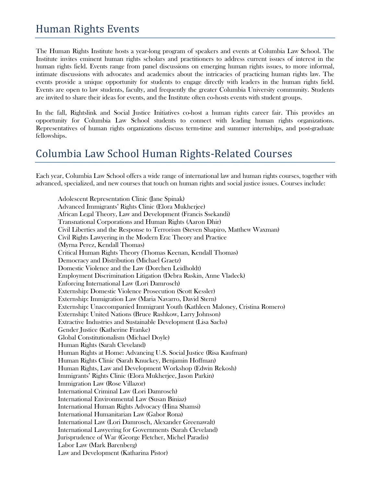## Human Rights Events

The Human Rights Institute hosts a year-long program of speakers and events at Columbia Law School. The Institute invites eminent human rights scholars and practitioners to address current issues of interest in the human rights field. Events range from panel discussions on emerging human rights issues, to more informal, intimate discussions with advocates and academics about the intricacies of practicing human rights law. The events provide a unique opportunity for students to engage directly with leaders in the human rights field. Events are open to law students, faculty, and frequently the greater Columbia University community. Students are invited to share their ideas for events, and the Institute often co-hosts events with student groups.

In the fall, Rightslink and Social Justice Initiatives co-host a human rights career fair. This provides an opportunity for Columbia Law School students to connect with leading human rights organizations. Representatives of human rights organizations discuss term-time and summer internships, and post-graduate fellowships.

## Columbia Law School Human Rights-Related Courses

Each year, Columbia Law School offers a wide range of international law and human rights courses, together with advanced, specialized, and new courses that touch on human rights and social justice issues. Courses include:

Adolescent Representation Clinic (Jane Spinak) Advanced Immigrants' Rights Clinic (Elora Mukherjee) African Legal Theory, Law and Development (Francis Ssekandi) Transnational Corporations and Human Rights (Aaron Dhir) Civil Liberties and the Response to Terrorism (Steven Shapiro, Matthew Waxman) Civil Rights Lawyering in the Modern Era: Theory and Practice (Myrna Perez, Kendall Thomas) Critical Human Rights Theory (Thomas Keenan, Kendall Thomas) Democracy and Distribution (Michael Graetz) Domestic Violence and the Law (Dorchen Leidholdt) Employment Discrimination Litigation (Debra Raskin, Anne Vladeck) Enforcing International Law (Lori Damrosch) Externship: Domestic Violence Prosecution (Scott Kessler) Externship: Immigration Law (Maria Navarro, David Stern) Externship: Unaccompanied Immigrant Youth (Kathleen Maloney, Cristina Romero) Externship: United Nations (Bruce Rashkow, Larry Johnson) Extractive Industries and Sustainable Development (Lisa Sachs) Gender Justice (Katherine Franke) Global Constitutionalism (Michael Doyle) Human Rights (Sarah Cleveland) Human Rights at Home: Advancing U.S. Social Justice (Risa Kaufman) Human Rights Clinic (Sarah Knuckey, Benjamin Hoffman) Human Rights, Law and Development Workshop (Edwin Rekosh) Immigrants' Rights Clinic (Elora Mukherjee, Jason Parkin) Immigration Law (Rose Villazor) International Criminal Law (Lori Damrosch) International Environmental Law (Susan Biniaz) International Human Rights Advocacy (Hina Shamsi) International Humanitarian Law (Gabor Rona) International Law (Lori Damrosch, Alexander Greenawalt) International Lawyering for Governments (Sarah Cleveland) Jurisprudence of War (George Fletcher, Michel Paradis) Labor Law (Mark Barenberg) Law and Development (Katharina Pistor)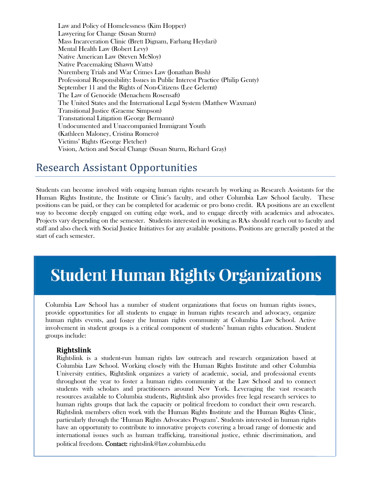Law and Policy of Homelessness (Kim Hopper) Lawyering for Change (Susan Sturm) Mass Incarceration Clinic (Brett Dignam, Farhang Heydari) Mental Health Law (Robert Levy) Native American Law (Steven McSlov) Native Peacemaking (Shawn Watts) Nuremberg Trials and War Crimes Law (Jonathan Bush) Professional Responsibility: Issues in Public Interest Practice (Philip Genty) September 11 and the Rights of Non-Citizens (Lee Gelernt) The Law of Genocide (Menachem Rosensaft) The United States and the International Legal System (Matthew Waxman) **Transitional Justice (Graeme Simpson) Transnational Litigation (George Bermann)** Undocumented and Unaccompanied Immigrant Youth (Kathleen Maloney, Cristina Romero) Victims' Rights (George Fletcher) Vision, Action and Social Change (Susan Sturm, Richard Gray)

### **Research Assistant Opportunities**

Students can become involved with ongoing human rights research by working as Research Assistants for the Human Rights Institute, the Institute or Clinic's faculty, and other Columbia Law School faculty. These positions can be paid, or they can be completed for academic or pro bono credit. RA positions are an excellent way to become deeply engaged on cutting edge work, and to engage directly with academics and advocates. Projects vary depending on the semester. Students interested in working as RAs should reach out to faculty and staff and also check with Social Justice Initiatives for any available positions. Positions are generally posted at the start of each semester.

## **Student Human Rights Organizations**

Columbia Law School has a number of student organizations that focus on human rights issues, provide opportunities for all students to engage in human rights research and advocacy, organize human rights events, and foster the human rights community at Columbia Law School. Active involvement in student groups is a critical component of students' human rights education. Student groups include:

#### **Rightslink**

Rightslink is a student-run human rights law outreach and research organization based at Columbia Law School. Working closely with the Human Rights Institute and other Columbia University entities, Rightslink organizes a variety of academic, social, and professional events throughout the year to foster a human rights community at the Law School and to connect students with scholars and practitioners around New York. Leveraging the vast research resources available to Columbia students, Rightslink also provides free legal research services to human rights groups that lack the capacity or political freedom to conduct their own research. Rightslink members often work with the Human Rights Institute and the Human Rights Clinic, particularly through the 'Human Rights Advocates Program'. Students interested in human rights have an opportunity to contribute to innovative projects covering a broad range of domestic and international issues such as human trafficking, transitional justice, ethnic discrimination, and political freedom. Contact: rightslink@law.columbia.edu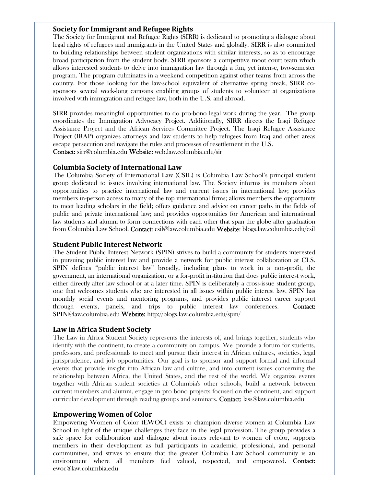#### **Society for Immigrant and Refugee Rights**

The Society for Immigrant and Refugee Rights (SIRR) is dedicated to promoting a dialogue about legal rights of refugees and immigrants in the United States and globally. SIRR is also committed to building relationships between student organizations with similar interests, so as to encourage broad participation from the student body. SIRR sponsors a competitive moot court team which allows interested students to delve into immigration law through a fun, yet intense, two-semester program. The program culminates in a weekend competition against other teams from across the country. For those looking for the law-school equivalent of alternative spring break, SIRR cosponsors several week-long caravans enabling groups of students to volunteer at organizations involved with immigration and refugee law, both in the U.S. and abroad.

SIRR provides meaningful opportunities to do pro-bono legal work during the year. The group coordinates the Immigration Advocacy Project. Additionally, SIRR directs the Iraqi Refugee Assistance Project and the African Services Committee Project. The Iraqi Refugee Assistance Project (IRAP) organizes attorneys and law students to help refugees from Iraq and other areas escape persecution and navigate the rules and processes of resettlement in the U.S. Contact: sirr@columbia.edu Website: web.law.columbia.edu/sir

#### **Columbia Society of International Law**

The Columbia Society of International Law (CSIL) is Columbia Law School's principal student group dedicated to issues involving international law. The Society informs its members about opportunities to practice international law and current issues in international law; provides members in-person access to many of the top international firms; allows members the opportunity to meet leading scholars in the field; offers guidance and advice on career paths in the fields of public and private international law; and provides opportunities for American and international law students and alumni to form connections with each other that span the globe after graduation from Columbia Law School. Contact: csil@law.columbia.edu Website: blogs.law.columbia.edu/csil

#### **Student Public Interest Network**

The Student Public Interest Network (SPIN) strives to build a community for students interested in pursuing public interest law and provide a network for public interest collaboration at CLS. SPIN defines "public interest law" broadly, including plans to work in a non-profit, the government, an international organization, or a for-profit institution that does public interest work, either directly after law school or at a later time. SPIN is deliberately a cross-issue student group, one that welcomes students who are interested in all issues within public interest law. SPIN has monthly social events and mentoring programs, and provides public interest career support through events, panels, and trips to public interest law conferences. Contact: SPIN@law.columbia.edu Website: http://blogs.law.columbia.edu/spin/

#### **Law in Africa Student Society**

The Law in Africa Student Society represents the interests of, and brings together, students who identify with the continent, to create a community on campus. We provide a forum for students, professors, and professionals to meet and pursue their interest in African cultures, societies, legal jurisprudence, and job opportunities. Our goal is to sponsor and support formal and informal events that provide insight into African law and culture, and into current issues concerning the relationship between Africa, the United States, and the rest of the world. We organize events together with African student societies at Columbia's other schools, build a network between current members and alumni, engage in pro bono projects focused on the continent, and support curricular development through reading groups and seminars. Contact: lass@law.columbia.edu

#### **Empowering Women of Color**

Empowering Women of Color (EWOC) exists to champion diverse women at Columbia Law School in light of the unique challenges they face in the legal profession. The group provides a safe space for collaboration and dialogue about issues relevant to women of color, supports members in their development as full participants in academic, professional, and personal communities, and strives to ensure that the greater Columbia Law School community is an environment where all members feel valued, respected, and empowered. Contact: ewoc@law.columbia.edu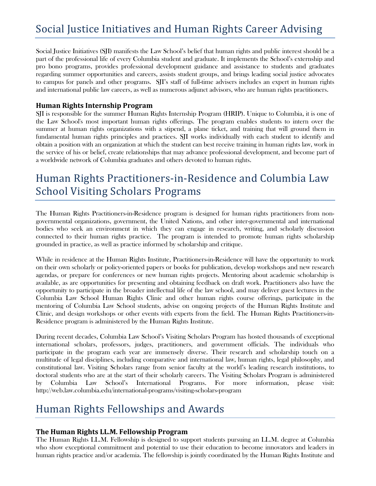## Social Justice Initiatives and Human Rights Career Advising

Social Justice Initiatives (SJI) manifests the Law School's belief that human rights and public interest should be a part of the professional life of every Columbia student and graduate. It implements the School's externship and pro bono programs, provides professional development guidance and assistance to students and graduates regarding summer opportunities and careers, assists student groups, and brings leading social justice advocates to campus for panels and other programs. SJI's staff of full-time advisers includes an expert in human rights and international public law careers, as well as numerous adjunct advisors, who are human rights practitioners.

#### **Human Rights Internship Program**

SJI is responsible for the summer Human Rights Internship Program (HRIP). Unique to Columbia, it is one of the Law School's most important human rights offerings. The program enables students to intern over the summer at human rights organizations with a stipend, a plane ticket, and training that will ground them in fundamental human rights principles and practices. SJI works individually with each student to identify and obtain a position with an organization at which the student can best receive training in human rights law, work in the service of his or belief, create relationships that may advance professional development, and become part of a worldwide network of Columbia graduates and others devoted to human rights.

## Human Rights Practitioners-in-Residence and Columbia Law School Visiting Scholars Programs

The Human Rights Practitioners-in-Residence program is designed for human rights practitioners from nongovernmental organizations, government, the United Nations, and other inter-governmental and international bodies who seek an environment in which they can engage in research, writing, and scholarly discussion connected to their human rights practice. The program is intended to promote human rights scholarship grounded in practice, as well as practice informed by scholarship and critique.

While in residence at the Human Rights Institute, Practitioners-in-Residence will have the opportunity to work on their own scholarly or policy-oriented papers or books for publication, develop workshops and new research agendas, or prepare for conferences or new human rights projects. Mentoring about academic scholarship is available, as are opportunities for presenting and obtaining feedback on draft work. Practitioners also have the opportunity to participate in the broader intellectual life of the law school, and may deliver guest lectures in the Columbia Law School Human Rights Clinic and other human rights course offerings, participate in the mentoring of Columbia Law School students, advise on ongoing projects of the Human Rights Institute and Clinic, and design workshops or other events with experts from the field. The Human Rights Practitioners-in-Residence program is administered by the Human Rights Institute.

During recent decades, Columbia Law School's Visiting Scholars Program has hosted thousands of exceptional international scholars, professors, judges, practitioners, and government officials. The individuals who participate in the program each year are immensely diverse. Their research and scholarship touch on a multitude of legal disciplines, including comparative and international law, human rights, legal philosophy, and constitutional law. Visiting Scholars range from senior faculty at the world's leading research institutions, to doctoral students who are at the start of their scholarly careers. The Visiting Scholars Program is administered by Columbia Law School's International Programs. For more information, please visit: http://web.law.columbia.edu/international-programs/visiting-scholars-program

## Human Rights Fellowships and Awards

#### **The Human Rights LL.M. Fellowship Program**

The Human Rights LL.M. Fellowship is designed to support students pursuing an LL.M. degree at Columbia who show exceptional commitment and potential to use their education to become innovators and leaders in human rights practice and/or academia. The fellowship is jointly coordinated by the Human Rights Institute and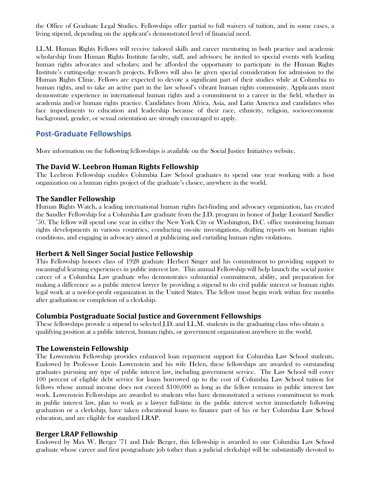the Office of Graduate Legal Studies. Fellowships offer partial to full waivers of tuition, and in some cases, a living stipend, depending on the applicant's demonstrated level of financial need.

LL.M. Human Rights Fellows will receive tailored skills and career mentoring in both practice and academic scholarship from Human Rights Institute faculty, staff, and advisors; be invited to special events with leading human rights advocates and scholars; and be afforded the opportunity to participate in the Human Rights Institute's cutting-edge research projects. Fellows will also be given special consideration for admission to the Human Rights Clinic. Fellows are expected to devote a significant part of their studies while at Columbia to human rights, and to take an active part in the law school's vibrant human rights community. Applicants must demonstrate experience in international human rights and a commitment to a career in the field, whether in academia and/or human rights practice. Candidates from Africa, Asia, and Latin America and candidates who face impediments to education and leadership because of their race, ethnicity, religion, socio-economic background, gender, or sexual orientation are strongly encouraged to apply.

#### **Post‐Graduate Fellowships**

More information on the following fellowships is available on the Social Justice Initiatives website.

#### **The David W. Leebron Human Rights Fellowship**

The Leebron Fellowship enables Columbia Law School graduates to spend one year working with a host organization on a human rights project of the graduate's choice, anywhere in the world.

#### **The Sandler Fellowship**

Human Rights Watch, a leading international human rights fact-finding and advocacy organization, has created the Sandler Fellowship for a Columbia Law graduate from the J.D. program in honor of Judge Leonard Sandler '50. The fellow will spend one year in either the New York City or Washington, D.C. office monitoring human rights developments in various countries, conducting on-site investigations, drafting reports on human rights conditions, and engaging in advocacy aimed at publicizing and curtailing human rights violations.

#### **Herbert & Nell Singer Social Justice Fellowship**

This Fellowship honors class of 1928 graduate Herbert Singer and his commitment to providing support to meaningful learning experiences in public interest law. This annual Fellowship will help launch the social justice career of a Columbia Law graduate who demonstrates substantial commitment, ability, and preparation for making a difference as a public interest lawyer by providing a stipend to do civil public interest or human rights legal work at a not-for-profit organization in the United States. The fellow must begin work within five months after graduation or completion of a clerkship.

#### **Columbia Postgraduate Social Justice and Government Fellowships**

These fellowships provide a stipend to selected J.D. and LL.M. students in the graduating class who obtain a qualifying position at a public interest, human rights, or government organization anywhere in the world.

#### **The Lowenstein Fellowship**

The Lowenstein Fellowship provides enhanced loan repayment support for Columbia Law School students. Endowed by Professor Louis Lowenstein and his wife Helen, these fellowships are awarded to outstanding graduates pursuing any type of public interest law, including government service. The Law School will cover 100 percent of eligible debt service for loans borrowed up to the cost of Columbia Law School tuition for fellows whose annual income does not exceed \$100,000 as long as the fellow remains in public interest law work. Lowenstein Fellowships are awarded to students who have demonstrated a serious commitment to work in public interest law, plan to work as a lawyer full-time in the public interest sector immediately following graduation or a clerkship, have taken educational loans to finance part of his or her Columbia Law School education, and are eligible for standard LRAP.

#### **Berger LRAP Fellowship**

Endowed by Max W. Berger '71 and Dale Berger, this fellowship is awarded to one Columbia Law School graduate whose career and first postgraduate job (other than a judicial clerkship) will be substantially devoted to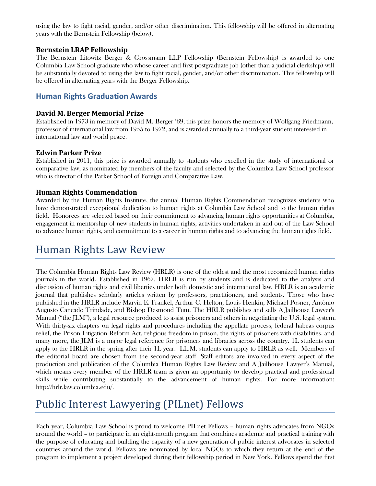using the law to fight racial, gender, and/or other discrimination. This fellowship will be offered in alternating years with the Bernstein Fellowship (below).

#### **Bernstein LRAP Fellowship**

The Bernstein Litowitz Berger & Grossmann LLP Fellowship (Bernstein Fellowship) is awarded to one Columbia Law School graduate who whose career and first postgraduate job (other than a judicial clerkship) will be substantially devoted to using the law to fight racial, gender, and/or other discrimination. This fellowship will be offered in alternating years with the Berger Fellowship.

#### **Human Rights Graduation Awards**

#### **David M. Berger Memorial Prize**

Established in 1973 in memory of David M. Berger '69, this prize honors the memory of Wolfgang Friedmann, professor of international law from 1955 to 1972, and is awarded annually to a third-year student interested in international law and world peace.

#### **Edwin Parker Prize**

Established in 2011, this prize is awarded annually to students who excelled in the study of international or comparative law, as nominated by members of the faculty and selected by the Columbia Law School professor who is director of the Parker School of Foreign and Comparative Law.

#### **Human Rights Commendation**

Awarded by the Human Rights Institute, the annual Human Rights Commendation recognizes students who have demonstrated exceptional dedication to human rights at Columbia Law School and to the human rights field. Honorees are selected based on their commitment to advancing human rights opportunities at Columbia, engagement in mentorship of new students in human rights, activities undertaken in and out of the Law School to advance human rights, and commitment to a career in human rights and to advancing the human rights field.

## Human Rights Law Review

The Columbia Human Rights Law Review (HRLR) is one of the oldest and the most recognized human rights journals in the world. Established in 1967, HRLR is run by students and is dedicated to the analysis and discussion of human rights and civil liberties under both domestic and international law. HRLR is an academic journal that publishes scholarly articles written by professors, practitioners, and students. Those who have published in the HRLR include Marvin E. Frankel, Arthur C. Helton, Louis Henkin, Michael Posner, Antônio Augusto Cancado Trindade, and Bishop Desmond Tutu. The HRLR publishes and sells A Jailhouse Lawyer's Manual ("the JLM"), a legal resource produced to assist prisoners and others in negotiating the U.S. legal system. With thirty-six chapters on legal rights and procedures including the appellate process, federal habeas corpus relief, the Prison Litigation Reform Act, religious freedom in prison, the rights of prisoners with disabilities, and many more, the JLM is a major legal reference for prisoners and libraries across the country. 1L students can apply to the HRLR in the spring after their 1L year. LL.M. students can apply to HRLR as well. Members of the editorial board are chosen from the second-year staff. Staff editors are involved in every aspect of the production and publication of the Columbia Human Rights Law Review and A Jailhouse Lawyer's Manual, which means every member of the HRLR team is given an opportunity to develop practical and professional skills while contributing substantially to the advancement of human rights. For more information: http://hrlr.law.columbia.edu/.

## Public Interest Lawyering (PILnet) Fellows

Each year, Columbia Law School is proud to welcome PILnet Fellows – human rights advocates from NGOs around the world – to participate in an eight-month program that combines academic and practical training with the purpose of educating and building the capacity of a new generation of public interest advocates in selected countries around the world. Fellows are nominated by local NGOs to which they return at the end of the program to implement a project developed during their fellowship period in New York. Fellows spend the first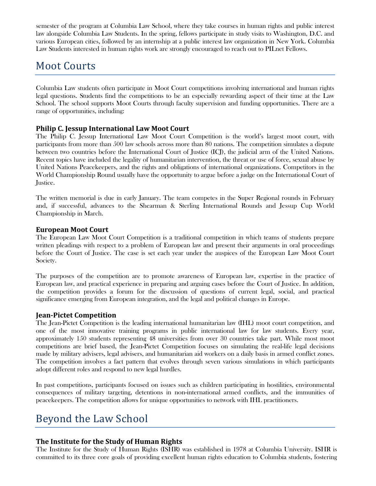semester of the program at Columbia Law School, where they take courses in human rights and public interest law alongside Columbia Law Students. In the spring, fellows participate in study visits to Washington, D.C. and various European cities, followed by an internship at a public interest law organization in New York. Columbia Law Students interested in human rights work are strongly encouraged to reach out to PILnet Fellows.

## **Moot Courts**

Columbia Law students often participate in Moot Court competitions involving international and human rights legal questions. Students find the competitions to be an especially rewarding aspect of their time at the Law School. The school supports Moot Courts through faculty supervision and funding opportunities. There are a range of opportunities, including:

#### **Philip C. Jessup International Law Moot Court**

The Philip C. Jessup International Law Moot Court Competition is the world's largest moot court, with participants from more than 500 law schools across more than 80 nations. The competition simulates a dispute between two countries before the International Court of Justice (ICJ), the judicial arm of the United Nations. Recent topics have included the legality of humanitarian intervention, the threat or use of force, sexual abuse by United Nations Peacekeepers, and the rights and obligations of international organizations. Competitors in the World Championship Round usually have the opportunity to argue before a judge on the International Court of Justice.

The written memorial is due in early January. The team competes in the Super Regional rounds in February and, if successful, advances to the Shearman & Sterling International Rounds and Jessup Cup World Championship in March.

#### **European Moot Court**

The European Law Moot Court Competition is a traditional competition in which teams of students prepare written pleadings with respect to a problem of European law and present their arguments in oral proceedings before the Court of Justice. The case is set each year under the auspices of the European Law Moot Court Society.

The purposes of the competition are to promote awareness of European law, expertise in the practice of European law, and practical experience in preparing and arguing cases before the Court of Justice. In addition, the competition provides a forum for the discussion of questions of current legal, social, and practical significance emerging from European integration, and the legal and political changes in Europe.

#### **Jean‐Pictet Competition**

The Jean-Pictet Competition is the leading international humanitarian law (IHL) moot court competition, and one of the most innovative training programs in public international law for law students. Every year, approximately 150 students representing 48 universities from over 30 countries take part. While most moot competitions are brief based, the Jean-Pictet Competition focuses on simulating the real-life legal decisions made by military advisers, legal advisers, and humanitarian aid workers on a daily basis in armed conflict zones. The competition involves a fact pattern that evolves through seven various simulations in which participants adopt different roles and respond to new legal hurdles.

In past competitions, participants focused on issues such as children participating in hostilities, environmental consequences of military targeting, detentions in non-international armed conflicts, and the immunities of peacekeepers. The competition allows for unique opportunities to network with IHL practitioners.

## Beyond the Law School

#### **The Institute for the Study of Human Rights**

The Institute for the Study of Human Rights (ISHR) was established in 1978 at Columbia University. ISHR is committed to its three core goals of providing excellent human rights education to Columbia students, fostering